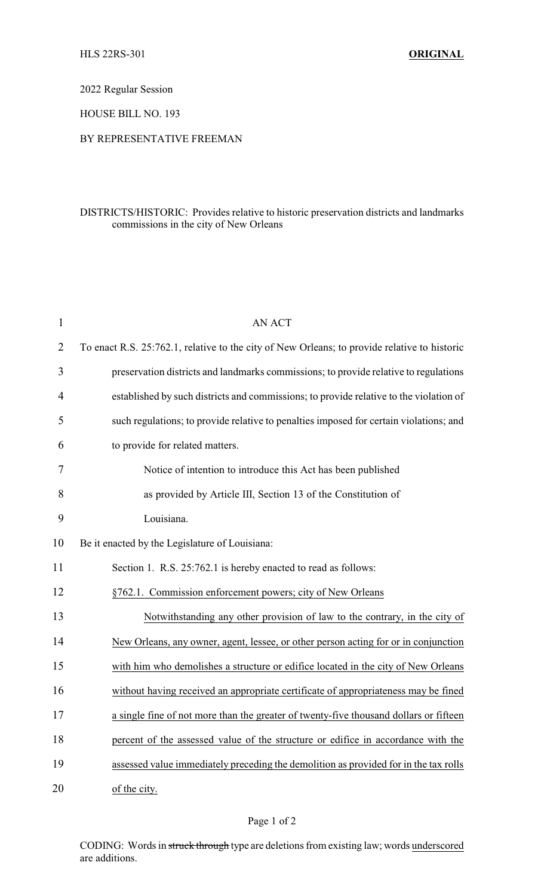2022 Regular Session

HOUSE BILL NO. 193

## BY REPRESENTATIVE FREEMAN

## DISTRICTS/HISTORIC: Provides relative to historic preservation districts and landmarks commissions in the city of New Orleans

| $\mathbf{1}$   | <b>AN ACT</b>                                                                                |
|----------------|----------------------------------------------------------------------------------------------|
| $\overline{2}$ | To enact R.S. 25:762.1, relative to the city of New Orleans; to provide relative to historic |
| 3              | preservation districts and landmarks commissions; to provide relative to regulations         |
| 4              | established by such districts and commissions; to provide relative to the violation of       |
| 5              | such regulations; to provide relative to penalties imposed for certain violations; and       |
| 6              | to provide for related matters.                                                              |
| 7              | Notice of intention to introduce this Act has been published                                 |
| 8              | as provided by Article III, Section 13 of the Constitution of                                |
| 9              | Louisiana.                                                                                   |
| 10             | Be it enacted by the Legislature of Louisiana:                                               |
| 11             | Section 1. R.S. 25:762.1 is hereby enacted to read as follows:                               |
| 12             | §762.1. Commission enforcement powers; city of New Orleans                                   |
| 13             | Notwithstanding any other provision of law to the contrary, in the city of                   |
| 14             | New Orleans, any owner, agent, lessee, or other person acting for or in conjunction          |
| 15             | with him who demolishes a structure or edifice located in the city of New Orleans            |
| 16             | without having received an appropriate certificate of appropriateness may be fined           |
| 17             | a single fine of not more than the greater of twenty-five thousand dollars or fifteen        |
| 18             | percent of the assessed value of the structure or edifice in accordance with the             |
| 19             | assessed value immediately preceding the demolition as provided for in the tax rolls         |
| 20             | of the city.                                                                                 |

CODING: Words in struck through type are deletions from existing law; words underscored are additions.